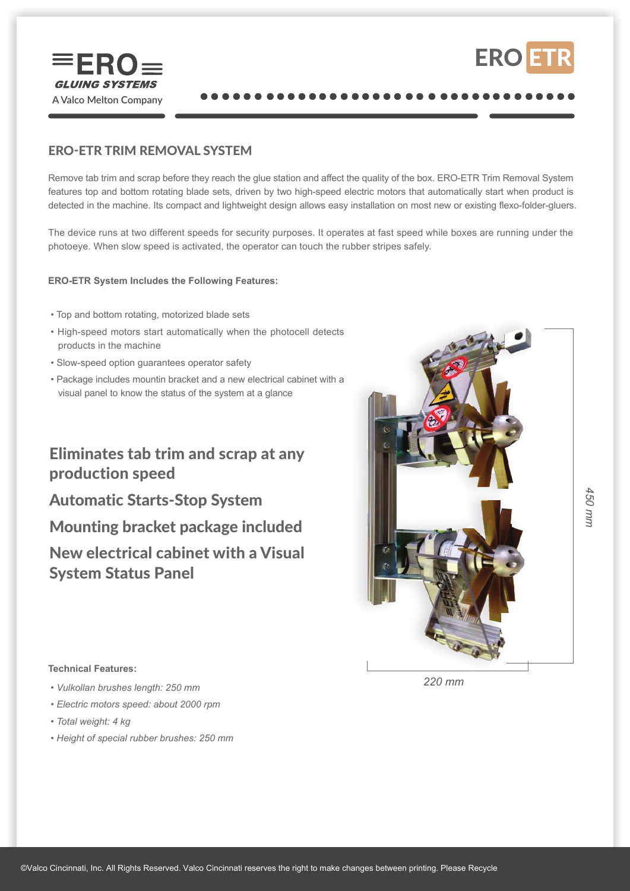



## ERO-ETR TRIM REMOVAL SYSTEM

Remove tab trim and scrap before they reach the glue station and affect the quality of the box. ERO-ETR Trim Removal System features top and bottom rotating blade sets, driven by two high-speed electric motors that automatically start when product is detected in the machine. Its compact and lightweight design allows easy installation on most new or existing flexo-folder-gluers.

The device runs at two different speeds for security purposes. It operates at fast speed while boxes are running under the photoeye. When slow speed is activated, the operator can touch the rubber stripes safely.

### **ERO-ETR System Includes the Following Features:**

- Top and bottom rotating, motorized blade sets
- High-speed motors start automatically when the photocell detects products in the machine
- Slow-speed option guarantees operator safety
- Package includes mountin bracket and a new electrical cabinet with a visual panel to know the status of the system at a glance

# Eliminates tab trim and scrap at any production speed

Automatic Starts-Stop System

Mounting bracket package included

New electrical cabinet with a Visual System Status Panel



#### **Technical Features:**

- *Vulkollan brushes length: 250 mm*
- *Electric motors speed: about 2000 rpm*
- *Total weight: 4 kg*
- *Height of special rubber brushes: 250 mm*

*220 mm*